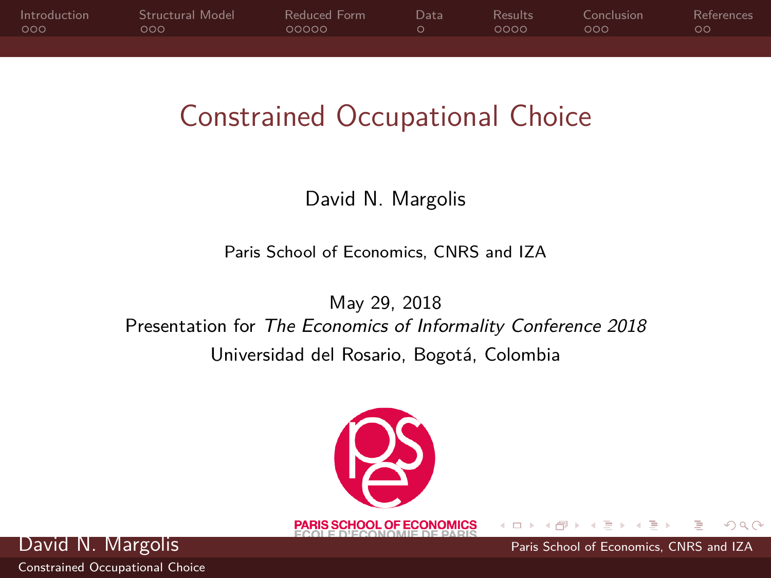<span id="page-0-0"></span>

| Introduction | Structural Model | Reduced Form | Datal | Results | Conclusion. | References |
|--------------|------------------|--------------|-------|---------|-------------|------------|
| ം റെറ        | റററ              | 00000        |       | 0000    | ഥററ         | ററ         |
|              |                  |              |       |         |             |            |

### Constrained Occupational Choice

### David N. Margolis

Paris School of Economics, CNRS and IZA

May 29, 2018 Presentation for The Economics of Informality Conference 2018 Universidad del Rosario, Bogotá, Colombia



David N. Margolis **Paris School of Economics**, CNRS and IZA

 $\Omega$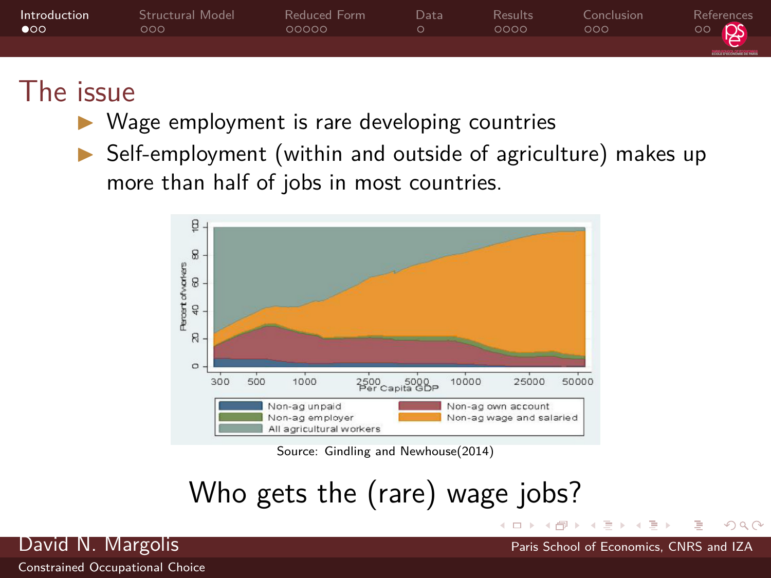<span id="page-1-0"></span>

| Introduction<br>$\bullet$ | Structural Model<br>റററ | Reduced Form<br>೧೧೧೧೧ | Data | Results<br>0000 | Conclusion<br>റററ | References<br>န္န<br>$\circ$           |
|---------------------------|-------------------------|-----------------------|------|-----------------|-------------------|----------------------------------------|
|                           |                         |                       |      |                 |                   | <b><i><u>RECEIVED SECTIONS</u></i></b> |

### The issue

- Wage employment is rare developing countries
- $\triangleright$  Self-employment (within and outside of agriculture) makes up more than half of jobs in most countries.



Source: Gindling and Newhouse(2014)

Who gets the (rare) wage jobs?



 $\Omega$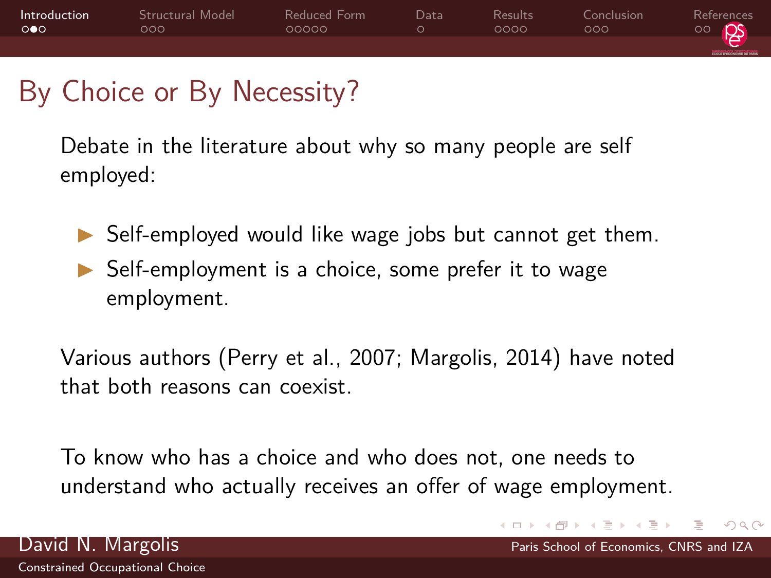

### By Choice or By Necessity?

[Constrained Occupational Choice](#page-0-0)

Debate in the literature about why so many people are self employed:

 $\triangleright$  Self-employed would like wage jobs but cannot get them.  $\triangleright$  Self-employment is a choice, some prefer it to wage employment.

Various authors [\(Perry et al., 2007;](#page-20-1) [Margolis, 2014\)](#page-20-2) have noted that both reasons can coexist.

To know who has a choice and who does not, one needs to understand who actually receives an offer of wage employment.

 $\Omega$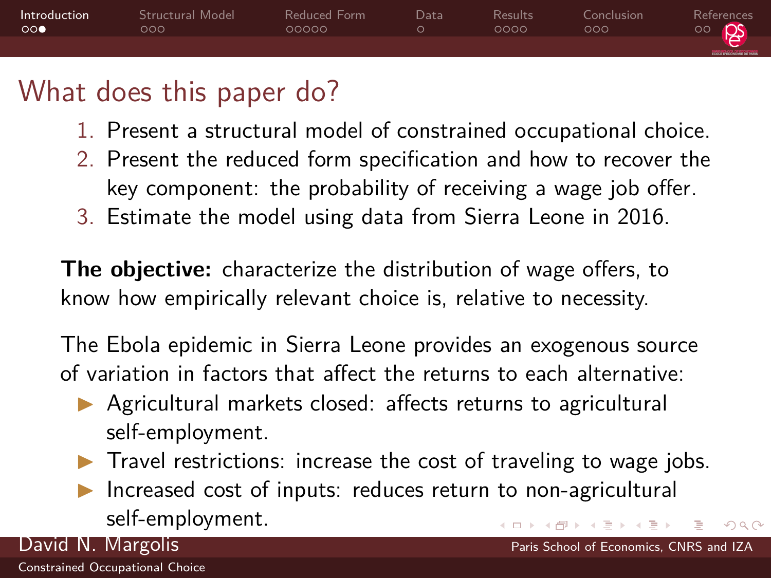

### What does this paper do?

- 1. Present a structural model of constrained occupational choice.
- 2. Present the reduced form specification and how to recover the key component: the probability of receiving a wage job offer.
- 3. Estimate the model using data from Sierra Leone in 2016.

**The objective:** characterize the distribution of wage offers, to know how empirically relevant choice is, relative to necessity.

The Ebola epidemic in Sierra Leone provides an exogenous source of variation in factors that affect the returns to each alternative:

- $\triangleright$  Agricultural markets closed: affects returns to agricultural self-employment.
- $\blacktriangleright$  Travel restrictions: increase the cost of traveling to wage jobs.

 $\Omega$ 

Increased cost of inputs: reduces return to non-agricultural self-employment.

David N. Margolis **Paris School of Economics**, CNRS and IZA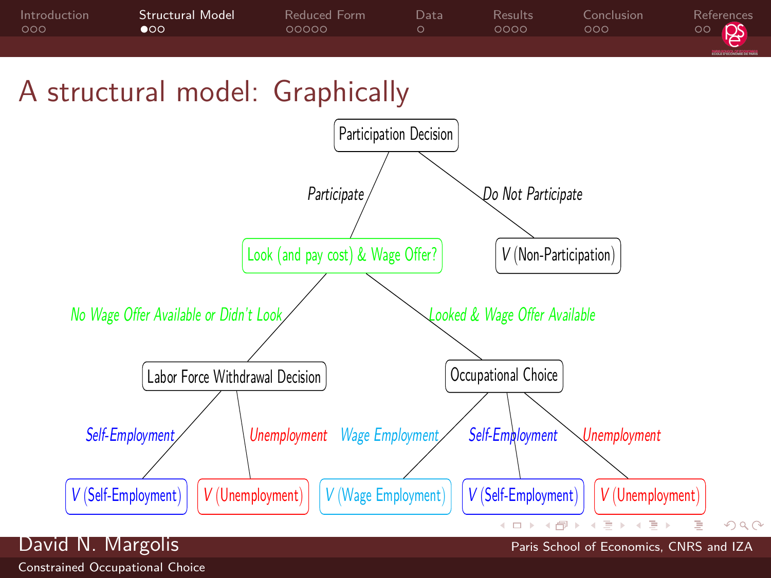<span id="page-4-0"></span>

### A structural model: Graphically

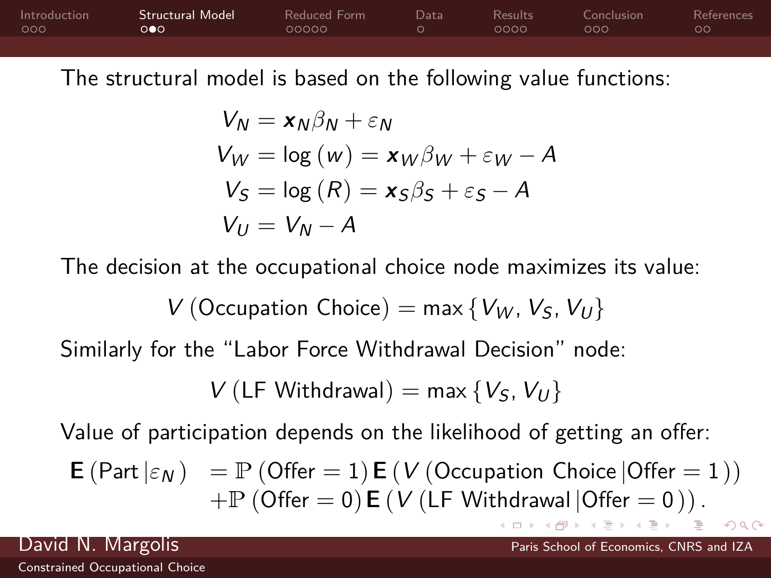[Introduction](#page-1-0) [Structural Model](#page-4-0) [Reduced Form](#page-7-0) [Data](#page-12-0) [Results](#page-13-0) [Conclusion](#page-17-0) [References](#page-20-0)

The structural model is based on the following value functions:

$$
V_N = x_N \beta_N + \varepsilon_N
$$
  
\n
$$
V_W = \log (w) = x_W \beta_W + \varepsilon_W - A
$$
  
\n
$$
V_S = \log (R) = x_S \beta_S + \varepsilon_S - A
$$
  
\n
$$
V_U = V_N - A
$$

The decision at the occupational choice node maximizes its value:

$$
V\left( Occupation\ Choice\right) = \max\left\{V_W,V_S,V_U\right\}
$$

Similarly for the "Labor Force Withdrawal Decision" node:

$$
V(LF \text{ Withdrawal}) = \max \{V_S, V_U\}
$$

Value of participation depends on the likelihood of getting an offer:

$$
\begin{array}{ll} \textbf{E} \left(\mathsf{Part}\left|\varepsilon_N\right.\right) & = \mathbb{P}\left(\mathsf{Offer}=1\right) \textbf{E}\left(\mathsf{V}\left(\mathsf{Occurbation\;Choice}\left|\mathsf{Offer}=1\right.\right)\right) \\ & + \mathbb{P}\left(\mathsf{Offer}=0\right) \textbf{E}\left(\mathsf{V}\left(\mathsf{LF\;Withdrawal}\left|\mathsf{Offer}=0\right.\right)\right).\end{array}
$$

 $\Omega$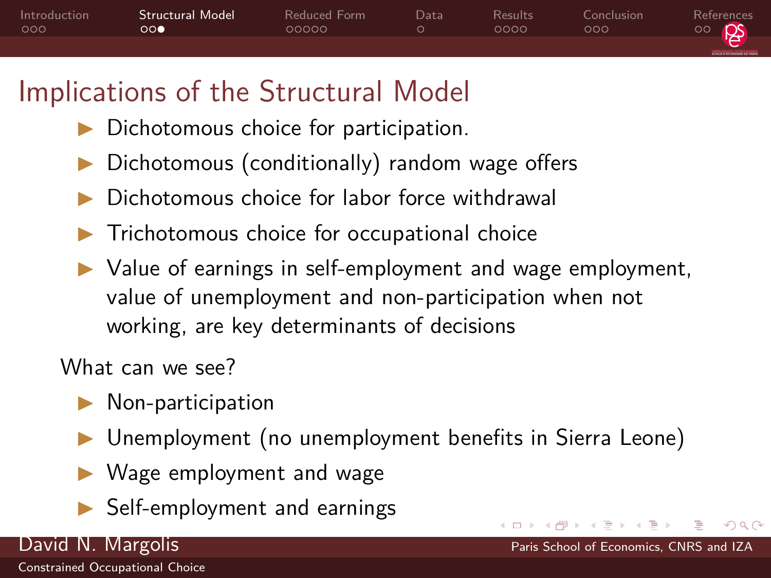<span id="page-6-0"></span>

## Implications of the Structural Model

- $\triangleright$  Dichotomous choice for participation.
- $\triangleright$  Dichotomous (conditionally) random wage offers
- Dichotomous choice for labor force withdrawal
- Trichotomous choice for occupational choice
- $\triangleright$  Value of earnings in self-employment and wage employment, value of unemployment and non-participation when not working, are key determinants of decisions

What can we see?

- $\blacktriangleright$  Non-participation
- ▶ Unemployment (no unemployment benefits in Sierra Leone)
- Wage employment and wage
- **In Self-employment and earnings**

David N. Margolis Paris School of Economics, CNRS and IZA

 $\Omega$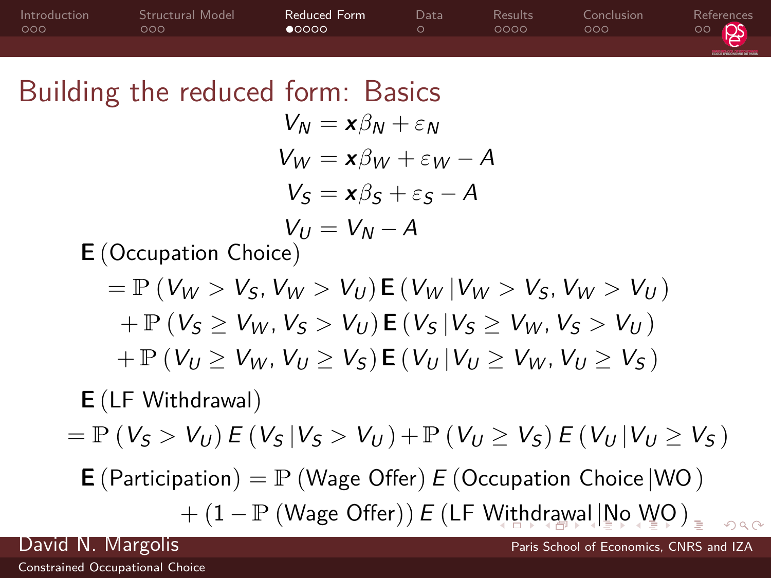<span id="page-7-0"></span>

| Introduction<br>000 | Structural Model<br>000                                                                           | <b>Reduced Form</b><br>$\bullet$ 0000                | Data<br>$\circ$ | Results<br>0000 | Conclusion<br>000 | References<br>ಂ |
|---------------------|---------------------------------------------------------------------------------------------------|------------------------------------------------------|-----------------|-----------------|-------------------|-----------------|
|                     | Building the reduced form: Basics                                                                 |                                                      |                 |                 |                   |                 |
|                     |                                                                                                   | $V_N = x\beta_N + \varepsilon_N$                     |                 |                 |                   |                 |
|                     |                                                                                                   | $V_W = x\beta_W + \varepsilon_W - A$                 |                 |                 |                   |                 |
|                     |                                                                                                   | $V_s = x\beta_s + \varepsilon_s - A$                 |                 |                 |                   |                 |
|                     |                                                                                                   | $V_U = V_N - A$                                      |                 |                 |                   |                 |
|                     | <b>E</b> (Occupation Choice)                                                                      |                                                      |                 |                 |                   |                 |
|                     | $=$ $\mathbb{P}$ ( $V_W > V_S$ , $V_W > V_U$ ) $\mathbb{E}$ ( $V_W$   $V_W > V_S$ , $V_W > V_U$ ) |                                                      |                 |                 |                   |                 |
|                     | $+ P (V_S \geq V_W, V_S > V_U) E (V_S   V_S \geq V_W, V_S > V_U)$                                 |                                                      |                 |                 |                   |                 |
|                     | $+ P (V_U \geq V_W, V_U \geq V_S) \mathbf{E} (V_U   V_U \geq V_W, V_U \geq V_S)$                  |                                                      |                 |                 |                   |                 |
|                     | $E$ (LF Withdrawal)                                                                               |                                                      |                 |                 |                   |                 |
|                     | $= \mathbb{P} (V_S > V_U) E (V_S   V_S > V_U) + \mathbb{P} (V_U \ge V_S) E (V_U   V_U \ge V_S)$   |                                                      |                 |                 |                   |                 |
|                     | <b>E</b> (Participation) = $\mathbb{P}$ (Wage Offer) E (Occupation Choice   WO)                   |                                                      |                 |                 |                   |                 |
|                     |                                                                                                   | $+ (1 - P (Wage Offer)) E (LF With drawing   No WQ)$ |                 |                 |                   | 000             |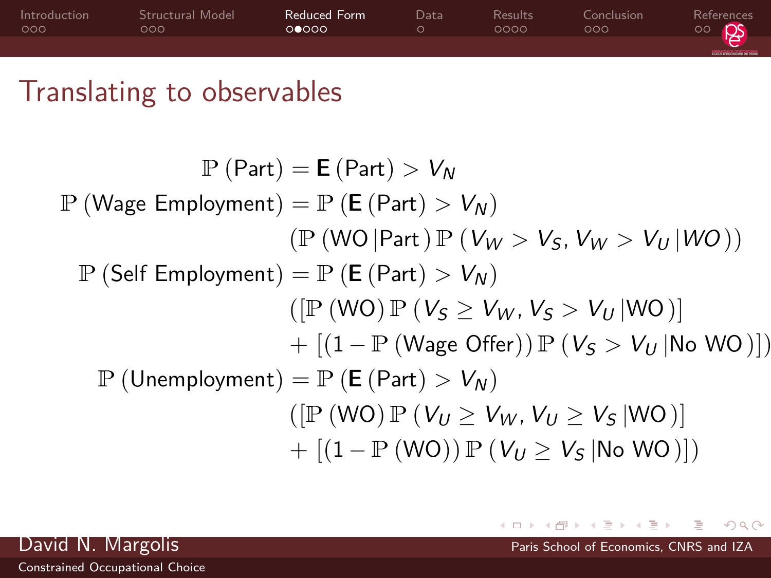<span id="page-8-0"></span>

| Introduction<br>000 | Structural Model<br>OOO | Reduced Form<br>00000 | Data | Results<br>೧೧೧೧ | Conclusion<br>noa | References<br>ps<br>$\circ$ |
|---------------------|-------------------------|-----------------------|------|-----------------|-------------------|-----------------------------|
|                     |                         |                       |      |                 |                   | <b>RECEIVED SERVICE</b>     |

### Translating to observables

 $P (Part) = E (Part) > V<sub>N</sub>$  $\mathbb{P}$  (Wage Employment) =  $\mathbb{P}$  (**E** (Part) >  $V_N$ )  $(\mathbb{P}(\mathsf{WO}|\mathsf{Part})\mathbb{P}(\mathsf{V}_W > \mathsf{V}_S,\mathsf{V}_W > \mathsf{V}_U|\mathsf{WO}))$  $\mathbb{P}$  (Self Employment) =  $\mathbb{P}$  (**E** (Part) >  $V_N$ )  $([P (WO) P (V<sub>S</sub> \geq V<sub>W</sub>, V<sub>S</sub> > V<sub>U</sub> |WO)])$  $+$   $[(1 - P (Wage Offer)) P (V<sub>S</sub> > V<sub>U</sub> |No WO)])$  $\mathbb{P}$  (Unemployment) =  $\mathbb{P}$  (**E** (Part) >  $V_N$ )  $([P (WO) P (V_{U} > V_{W}, V_{U} > V_{S} | WQ)$  $+ [(1 - P(WO)) P (V_U > V_S] No WO)]$ 



 $\Omega$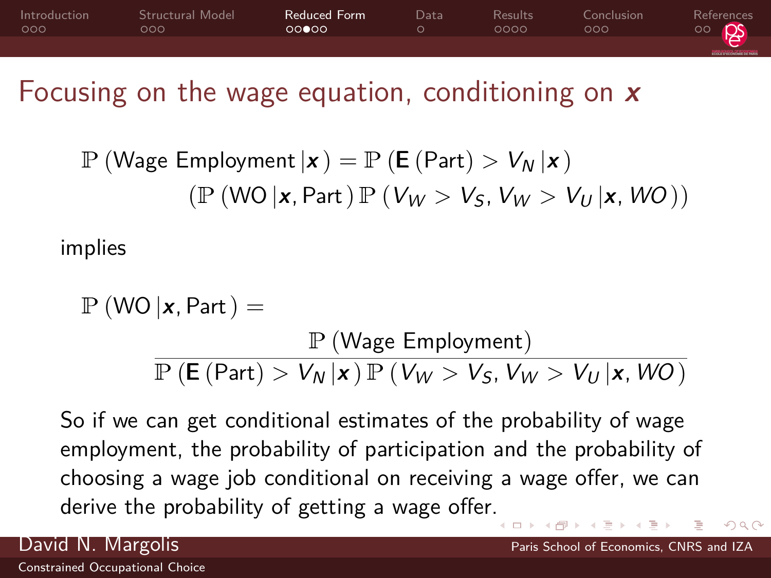<span id="page-9-0"></span>

### Focusing on the wage equation, conditioning on **x**

$$
\mathbb{P}(\text{Wage Emplogment} \mid \mathbf{x}) = \mathbb{P}(\mathbf{E}(\text{Part}) > V_N \mid \mathbf{x})
$$

$$
(\mathbb{P}(\text{WO} \mid \mathbf{x}, \text{Part}) \mathbb{P}(V_W > V_S, V_W > V_U \mid \mathbf{x}, WO))
$$

implies

$$
\mathbb{P}(\text{WO} | \mathbf{x}, \text{Part}) =
$$
\n
$$
\frac{\mathbb{P}(\text{Wage}_\text{emplog}(\mathbf{x}))}{\mathbb{P}(\mathbf{E}(\text{Part}) > V_N | \mathbf{x}) \mathbb{P}(V_W > V_S, V_W > V_U | \mathbf{x}, WO)}
$$

So if we can get conditional estimates of the probability of wage employment, the probability of participation and the probability of choosing a wage job conditional on receiving a wage offer, we can derive the probability of getting a wage offer[.](#page-8-0)

 $\Omega$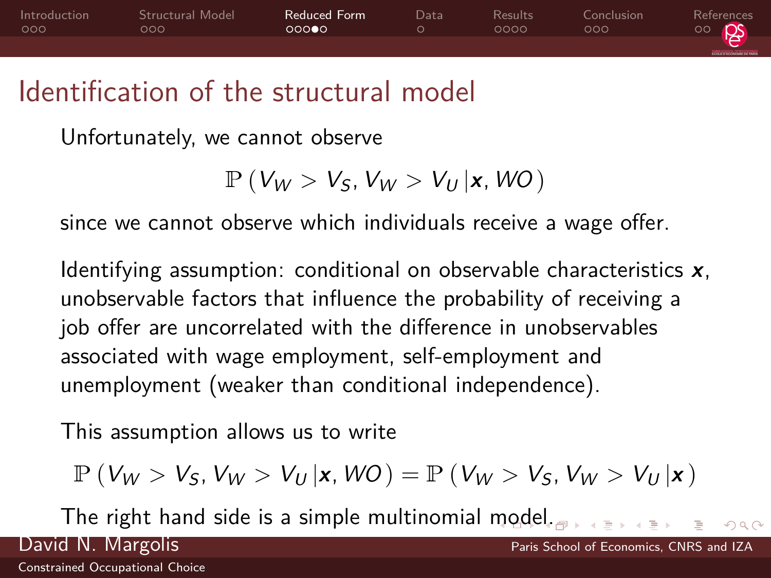<span id="page-10-0"></span>

### Identification of the structural model

Unfortunately, we cannot observe

```
P (V_W > V_S, V_W > V_U | \mathbf{x}, WO)
```
since we cannot observe which individuals receive a wage offer.

Identifying assumption: conditional on observable characteristics **x**, unobservable factors that influence the probability of receiving a job offer are uncorrelated with the difference in unobservables associated with wage employment, self-employment and unemployment (weaker than conditional independence).

This assumption allows us to write

$$
\mathbb{P}\left(V_W > V_S, V_W > V_U\left|\mathbf{x}, WO\right.\right) = \mathbb{P}\left(V_W > V_S, V_W > V_U\left|\mathbf{x}\right.\right)
$$

The right hand side is a simple multinomial [mo](#page-9-0)[de](#page-11-0)[l.](#page-9-0)

 $\Omega$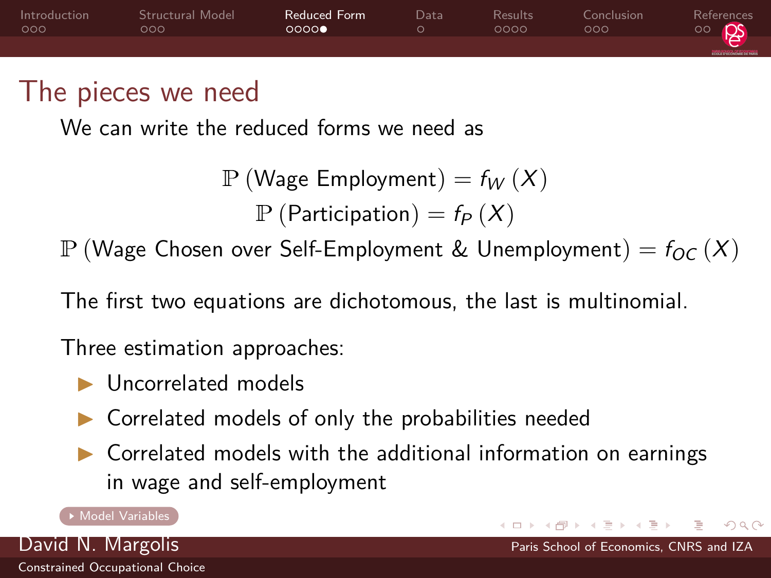<span id="page-11-0"></span>

### <span id="page-11-1"></span>The pieces we need

We can write the reduced forms we need as

```
P (Wage Employment) = f_W(X)P (Participation) = f_P(X)
```
P (Wage Chosen over Self-Employment & Unemployment) =  $f_{OC}(X)$ 

The first two equations are dichotomous, the last is multinomial.

Three estimation approaches:

- $\blacktriangleright$  Uncorrelated models
- $\triangleright$  Correlated models of only the probabilities needed
- $\triangleright$  Correlated models with the additional information on earnings in wage and self-employment

#### [Model Variables](#page-21-0)

[Constrained Occupational Choice](#page-0-0)

David N. Margolis Paris School of Economics, CNRS and IZA

 $\Omega$ 

イロト イ押 トイヨ トイ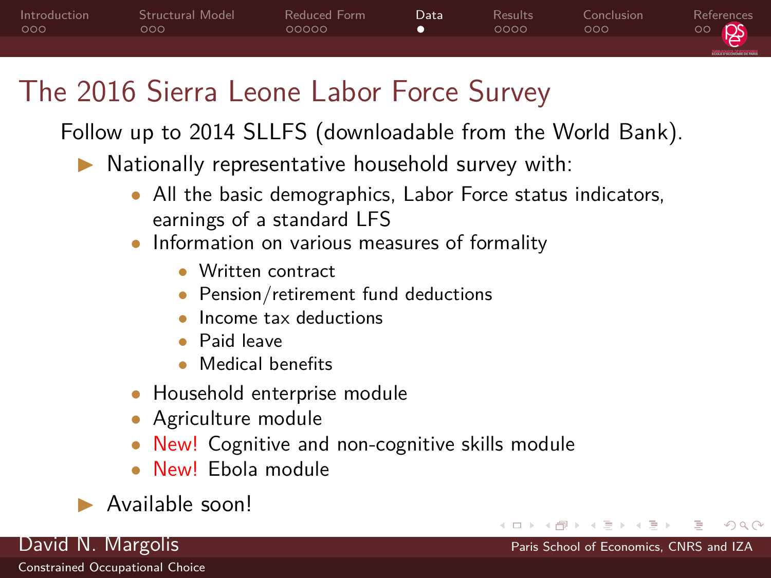<span id="page-12-0"></span>

## The 2016 Sierra Leone Labor Force Survey

Follow up to 2014 SLLFS (downloadable from the World Bank).

- $\blacktriangleright$  Nationally representative household survey with:
	- All the basic demographics, Labor Force status indicators, earnings of a standard LFS
	- Information on various measures of formality
		- Written contract
		- Pension/retirement fund deductions
		- Income tax deductions
		- Paid leave
		- Medical benefits
	- Household enterprise module
	- Agriculture module
	- New! Cognitive and non-cognitive skills module

 $\Omega$ 

- New! Ebola module
- I Available soon!

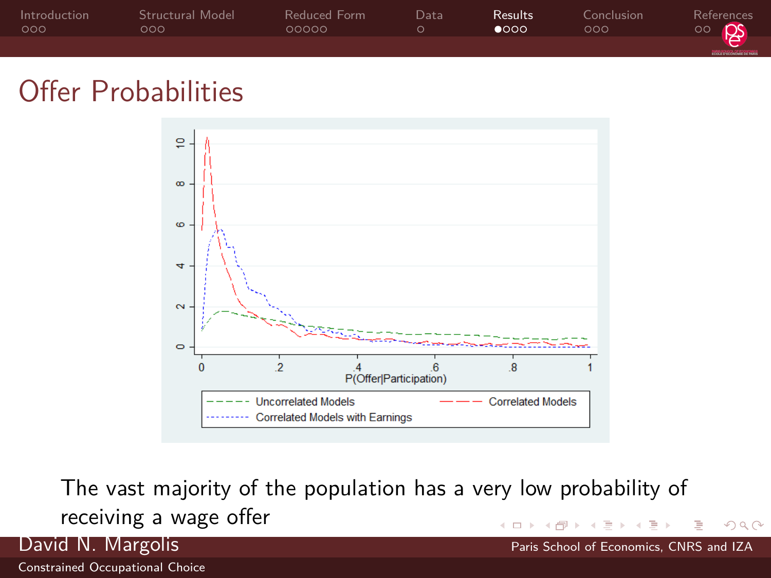<span id="page-13-0"></span>

| Introduction<br>000 | Structural Model<br>റററ | Reduced Form<br>೧೧೧೧೧ | Data | Results.<br>റേററ | Conclusion<br>noa | References<br>$\circ$   |
|---------------------|-------------------------|-----------------------|------|------------------|-------------------|-------------------------|
|                     |                         |                       |      |                  |                   | <b>RECEIVED SERVICE</b> |

### Offer Probabilities



The vast majority of the population has a very low probability of receiving a wage offer

 $\Omega$ 

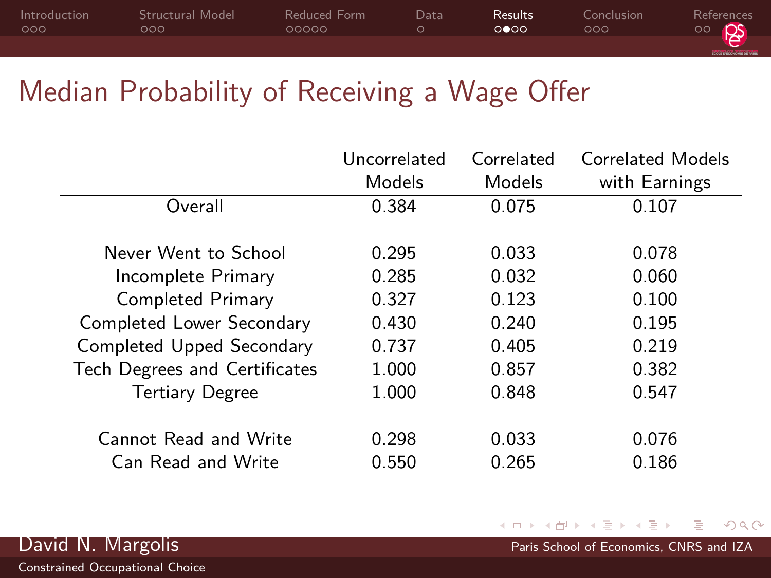| Introduction | Structural Model | Reduced Form | Data | Results. | Conclusion | References   |
|--------------|------------------|--------------|------|----------|------------|--------------|
| 000          | OOO.             | 00000        |      | റ∎ററ     | റററ        | <u>ം க</u> ொ |
|              |                  |              |      |          |            |              |

### Median Probability of Receiving a Wage Offer

|                               | Uncorrelated | Correlated | Correlated Models |
|-------------------------------|--------------|------------|-------------------|
|                               | Models       | Models     | with Earnings     |
| Overall                       | 0.384        | 0.075      | 0.107             |
| Never Went to School          | 0.295        | 0.033      | 0.078             |
| Incomplete Primary            | 0.285        | 0.032      | 0.060             |
| Completed Primary             | 0.327        | 0.123      | 0.100             |
| Completed Lower Secondary     | 0.430        | 0.240      | 0.195             |
| Completed Upped Secondary     | 0.737        | 0.405      | 0.219             |
| Tech Degrees and Certificates | 1.000        | 0.857      | 0.382             |
| <b>Tertiary Degree</b>        | 1.000        | 0.848      | 0.547             |
| <b>Cannot Read and Write</b>  | 0.298        | 0.033      | 0.076             |
| <b>Can Read and Write</b>     | 0.550        | 0.265      | 0.186             |



 $299$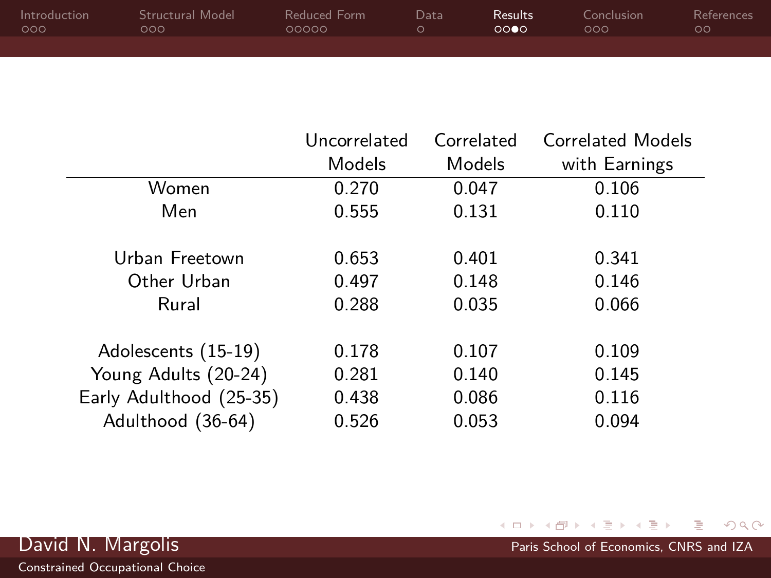| Introduction | Structural Model | Reduced Form | Datal | Results. | Conclusion | <b>References</b> |
|--------------|------------------|--------------|-------|----------|------------|-------------------|
| 000          | OOO.             | 00000        |       | 0000     | റററ        | ററ                |
|              |                  |              |       |          |            |                   |

|                         | Uncorrelated | Correlated | <b>Correlated Models</b> |
|-------------------------|--------------|------------|--------------------------|
|                         | Models       | Models     | with Earnings            |
| Women                   | 0.270        | 0.047      | 0.106                    |
| Men                     | 0.555        | 0.131      | 0.110                    |
|                         |              |            |                          |
| Urban Freetown          | 0.653        | 0.401      | 0.341                    |
| Other Urban             | 0.497        | 0.148      | 0.146                    |
| Rural                   | 0.288        | 0.035      | 0.066                    |
|                         |              |            |                          |
| Adolescents (15-19)     | 0.178        | 0.107      | 0.109                    |
| Young Adults (20-24)    | 0.281        | 0.140      | 0.145                    |
| Early Adulthood (25-35) | 0.438        | 0.086      | 0.116                    |
| Adulthood (36-64)       | 0.526        | 0.053      | 0.094                    |

 $\rightarrow$ David N. Margolis **Paris School of Economics, CNRS and IZA** 

 $\rightarrow$   $\equiv$   $\rightarrow$ 

重

 $\prec$ 

← ロ ▶ → (ラ ▶

 $299$ 

重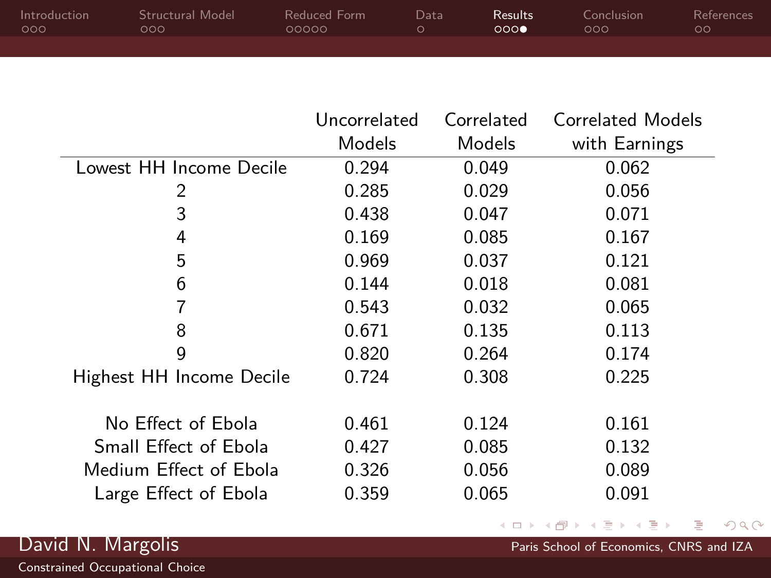| Introduction | Structural Model | Reduced Form | Data | Results <sup>1</sup> | Conclusion | References |
|--------------|------------------|--------------|------|----------------------|------------|------------|
| 000          | റററ              | 00000        |      | 0000                 | റററ        | $\circ$    |
|              |                  |              |      |                      |            |            |

|                          | Uncorrelated | Correlated | <b>Correlated Models</b> |
|--------------------------|--------------|------------|--------------------------|
|                          | Models       | Models     | with Earnings            |
| Lowest HH Income Decile  | 0.294        | 0.049      | 0.062                    |
| 2                        | 0.285        | 0.029      | 0.056                    |
| 3                        | 0.438        | 0.047      | 0.071                    |
| 4                        | 0.169        | 0.085      | 0.167                    |
| 5                        | 0.969        | 0.037      | 0.121                    |
| 6                        | 0.144        | 0.018      | 0.081                    |
| 7                        | 0.543        | 0.032      | 0.065                    |
| 8                        | 0.671        | 0.135      | 0.113                    |
| 9                        | 0.820        | 0.264      | 0.174                    |
| Highest HH Income Decile | 0.724        | 0.308      | 0.225                    |
|                          |              |            |                          |
| No Effect of Ebola       | 0.461        | 0.124      | 0.161                    |
| Small Effect of Ebola    | 0.427        | 0.085      | 0.132                    |
| Medium Effect of Ebola   | 0.326        | 0.056      | 0.089                    |
| Large Effect of Ebola    | 0.359        | 0.065      | 0.091                    |

검 > 'K 검 > David N. Margolis **Paris School of Economics, CNRS and IZA** 

 $\prec$ 

← ロ ▶ → (ラ ▶

 $2990$ 

重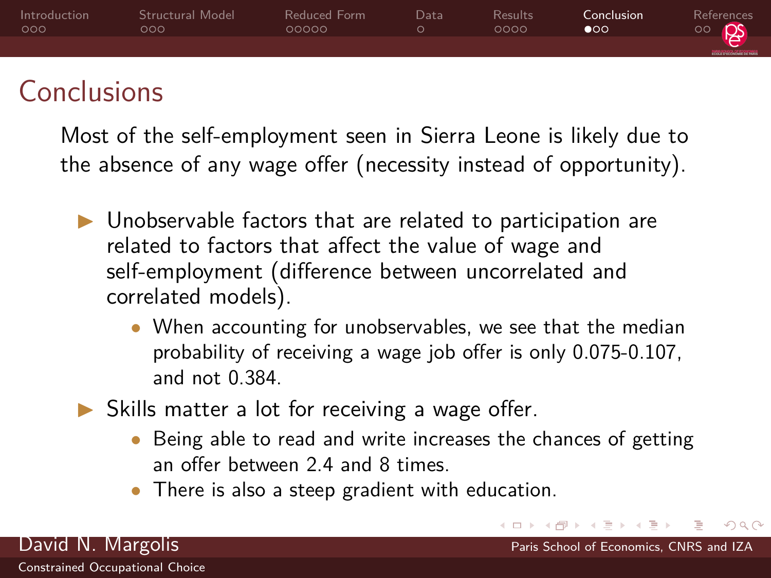<span id="page-17-0"></span>

| Introduction<br>000 | Structural Model<br>೦೦೦ | Reduced Form<br>00000 | Data | <b>Results</b><br>0000 | Conclusion<br>റെ | References<br><b>PS</b><br>$\circ$ |
|---------------------|-------------------------|-----------------------|------|------------------------|------------------|------------------------------------|
|                     |                         |                       |      |                        |                  | <b>RECEIVED SERVICE</b>            |
|                     |                         |                       |      |                        |                  |                                    |

### Conclusions

Most of the self-employment seen in Sierra Leone is likely due to the absence of any wage offer (necessity instead of opportunity).

- $\triangleright$  Unobservable factors that are related to participation are related to factors that affect the value of wage and self-employment (difference between uncorrelated and correlated models).
	- When accounting for unobservables, we see that the median probability of receiving a wage job offer is only 0.075-0.107, and not 0.384.
- $\triangleright$  Skills matter a lot for receiving a wage offer.
	- Being able to read and write increases the chances of getting an offer between 2.4 and 8 times.

 $\Omega$ 

David N. Margolis Paris School of Economics, CNRS and IZA

• There is also a steep gradient with education.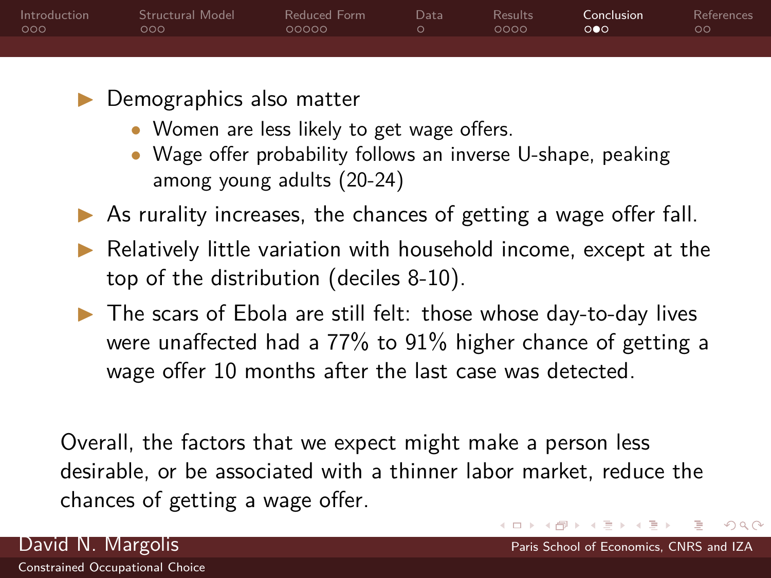| Introduction | Structural Model | Reduced Form | Data | Results | Conclusion            | References    |
|--------------|------------------|--------------|------|---------|-----------------------|---------------|
| റററ          | റററ              | ೧೧೧೧೧        |      | ೧೧೧೧    | $\circ \bullet \circ$ | $\circ \circ$ |
|              |                  |              |      |         |                       |               |

- $\blacktriangleright$  Demographics also matter
	- Women are less likely to get wage offers.
	- Wage offer probability follows an inverse U-shape, peaking among young adults (20-24)
- $\triangleright$  As rurality increases, the chances of getting a wage offer fall.
- $\blacktriangleright$  Relatively little variation with household income, except at the top of the distribution (deciles 8-10).
- $\blacktriangleright$  The scars of Ebola are still felt: those whose day-to-day lives were unaffected had a 77% to 91% higher chance of getting a wage offer 10 months after the last case was detected.

Overall, the factors that we expect might make a person less desirable, or be associated with a thinner labor market, reduce the chances of getting a wage offer.

 $\Omega$ 

#### David N. Margolis Paris School of Economics, CNRS and IZA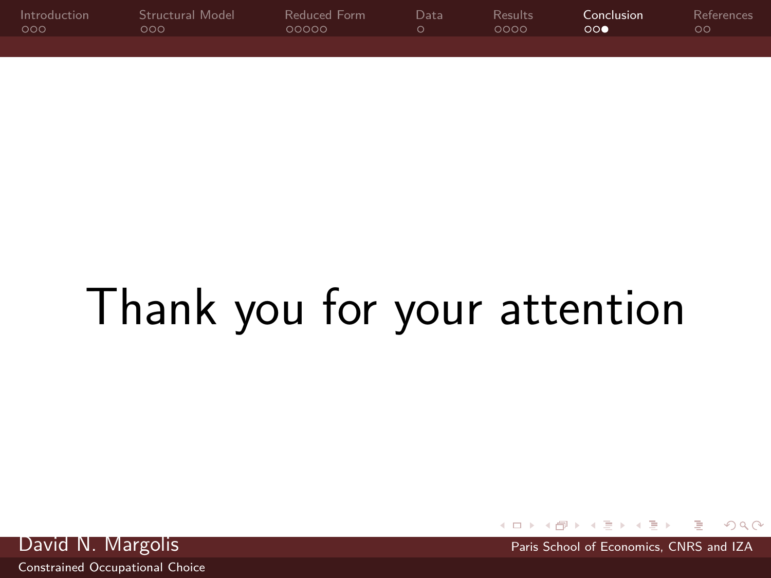| Introduction | Structural Model | Reduced Form | Data | Results | Conclusion | <b>References</b> |
|--------------|------------------|--------------|------|---------|------------|-------------------|
| - റററ        | റററ              | 00000        |      | 0000    | ററ         | ററ                |
|              |                  |              |      |         |            |                   |

# Thank you for your attention

David N. Margolis **Paris School of Economics**, CNRS and IZA

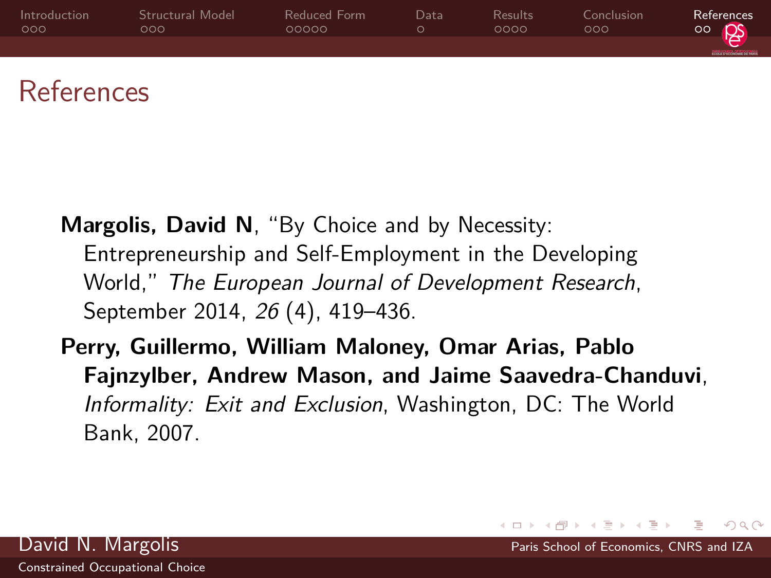<span id="page-20-0"></span>

| Introduction | Structural Model | Reduced Form | Datal | Results | Conclusion | References                |
|--------------|------------------|--------------|-------|---------|------------|---------------------------|
| 000          | റററ              | 00000        |       | 0000    | 000        | $\circ \circ \mathsf{PS}$ |
|              |                  |              |       |         |            | <b>DOCUMENT OF HAND</b>   |

### References

- <span id="page-20-2"></span>**Margolis, David N**, "By Choice and by Necessity: Entrepreneurship and Self-Employment in the Developing World," The European Journal of Development Research, September 2014, 26 (4), 419–436.
- <span id="page-20-1"></span>**Perry, Guillermo, William Maloney, Omar Arias, Pablo Fajnzylber, Andrew Mason, and Jaime Saavedra-Chanduvi**, Informality: Exit and Exclusion, Washington, DC: The World Bank, 2007.

 $\Omega$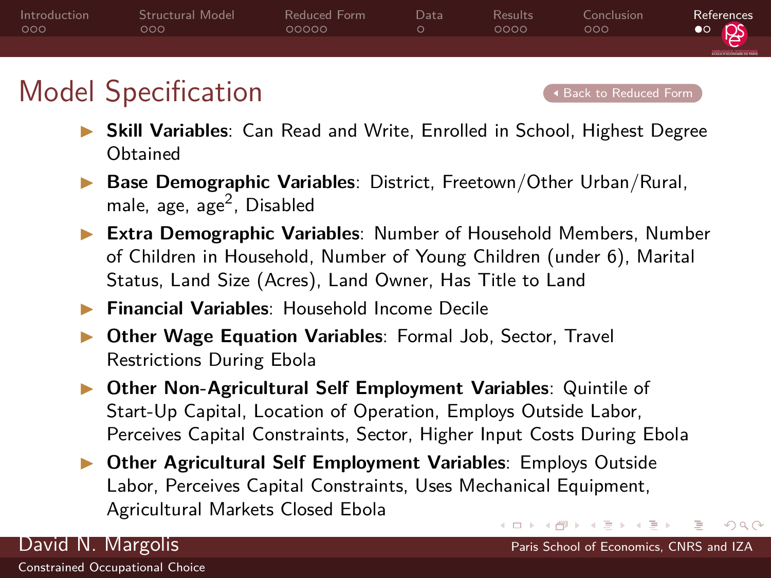<span id="page-21-1"></span>

### <span id="page-21-0"></span>Model Specification **[Back to Reduced Form](#page-11-1)**

 $\Omega$ 

- **Skill Variables:** Can Read and Write, Enrolled in School, Highest Degree **Obtained**
- Base Demographic Variables: District, Freetown/Other Urban/Rural, male, age, age<sup>2</sup>, Disabled
- **Extra Demographic Variables: Number of Household Members, Number** of Children in Household, Number of Young Children (under 6), Marital Status, Land Size (Acres), Land Owner, Has Title to Land
- **Financial Variables:** Household Income Decile
- **I Other Wage Equation Variables: Formal Job, Sector, Travel** Restrictions During Ebola
- **Other Non-Agricultural Self Employment Variables: Quintile of** Start-Up Capital, Location of Operation, Employs Outside Labor, Perceives Capital Constraints, Sector, Higher Input Costs During Ebola
- **In Other Agricultural Self Employment Variables: Employs Outside** Labor, Perceives Capital Constraints, Uses Mechanical Equipment, Agricultural Markets Closed Ebola イロメ イ何 トイヨ トイヨメ

David N. Margolis **Paris School of Economics**, CNRS and IZA